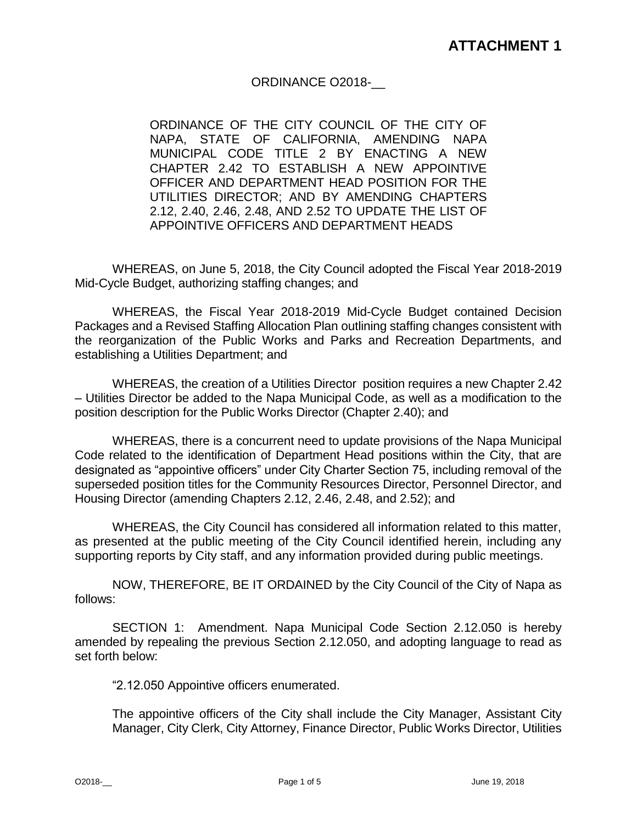## ORDINANCE O2018-\_\_

ORDINANCE OF THE CITY COUNCIL OF THE CITY OF NAPA, STATE OF CALIFORNIA, AMENDING NAPA MUNICIPAL CODE TITLE 2 BY ENACTING A NEW CHAPTER 2.42 TO ESTABLISH A NEW APPOINTIVE OFFICER AND DEPARTMENT HEAD POSITION FOR THE UTILITIES DIRECTOR; AND BY AMENDING CHAPTERS 2.12, 2.40, 2.46, 2.48, AND 2.52 TO UPDATE THE LIST OF APPOINTIVE OFFICERS AND DEPARTMENT HEADS

WHEREAS, on June 5, 2018, the City Council adopted the Fiscal Year 2018-2019 Mid-Cycle Budget, authorizing staffing changes; and

WHEREAS, the Fiscal Year 2018-2019 Mid-Cycle Budget contained Decision Packages and a Revised Staffing Allocation Plan outlining staffing changes consistent with the reorganization of the Public Works and Parks and Recreation Departments, and establishing a Utilities Department; and

WHEREAS, the creation of a Utilities Director position requires a new Chapter 2.42 – Utilities Director be added to the Napa Municipal Code, as well as a modification to the position description for the Public Works Director (Chapter 2.40); and

WHEREAS, there is a concurrent need to update provisions of the Napa Municipal Code related to the identification of Department Head positions within the City, that are designated as "appointive officers" under City Charter Section 75, including removal of the superseded position titles for the Community Resources Director, Personnel Director, and Housing Director (amending Chapters 2.12, 2.46, 2.48, and 2.52); and

WHEREAS, the City Council has considered all information related to this matter, as presented at the public meeting of the City Council identified herein, including any supporting reports by City staff, and any information provided during public meetings.

NOW, THEREFORE, BE IT ORDAINED by the City Council of the City of Napa as follows:

SECTION 1: Amendment. Napa Municipal Code Section 2.12.050 is hereby amended by repealing the previous Section 2.12.050, and adopting language to read as set forth below:

"2.12.050 Appointive officers enumerated.

The appointive officers of the City shall include the City Manager, Assistant City Manager, City Clerk, City Attorney, Finance Director, Public Works Director, Utilities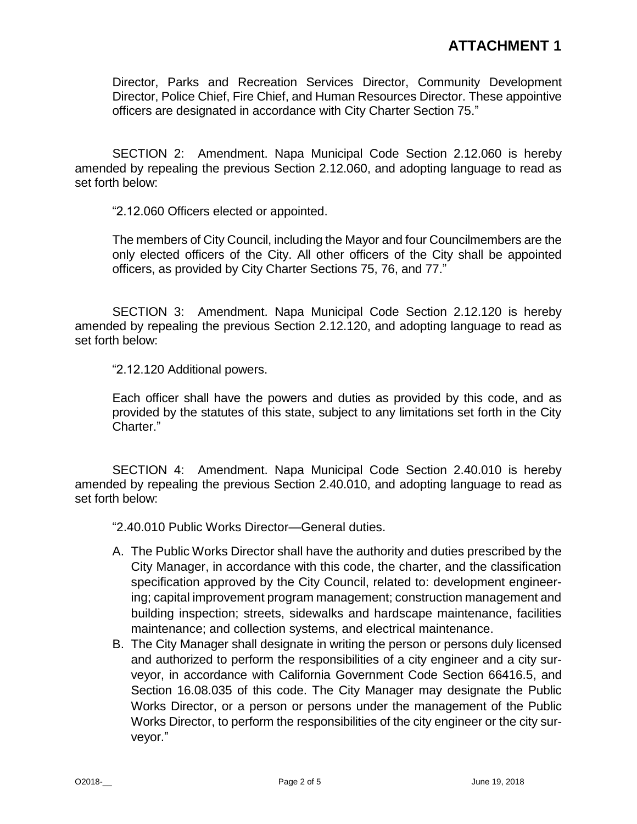Director, Parks and Recreation Services Director, Community Development Director, Police Chief, Fire Chief, and Human Resources Director. These appointive officers are designated in accordance with City Charter Section 75."

SECTION 2: Amendment. Napa Municipal Code Section 2.12.060 is hereby amended by repealing the previous Section 2.12.060, and adopting language to read as set forth below:

"2.12.060 Officers elected or appointed.

The members of City Council, including the Mayor and four Councilmembers are the only elected officers of the City. All other officers of the City shall be appointed officers, as provided by City Charter Sections 75, 76, and 77."

SECTION 3: Amendment. Napa Municipal Code Section 2.12.120 is hereby amended by repealing the previous Section 2.12.120, and adopting language to read as set forth below:

"2.12.120 Additional powers.

Each officer shall have the powers and duties as provided by this code, and as provided by the statutes of this state, subject to any limitations set forth in the City Charter."

SECTION 4: Amendment. Napa Municipal Code Section 2.40.010 is hereby amended by repealing the previous Section 2.40.010, and adopting language to read as set forth below:

"2.40.010 Public Works Director—General duties.

- A. The Public Works Director shall have the authority and duties prescribed by the City Manager, in accordance with this code, the charter, and the classification specification approved by the City Council, related to: development engineering; capital improvement program management; construction management and building inspection; streets, sidewalks and hardscape maintenance, facilities maintenance; and collection systems, and electrical maintenance.
- B. The City Manager shall designate in writing the person or persons duly licensed and authorized to perform the responsibilities of a city engineer and a city surveyor, in accordance with California Government Code Section 66416.5, and Section 16.08.035 of this code. The City Manager may designate the Public Works Director, or a person or persons under the management of the Public Works Director, to perform the responsibilities of the city engineer or the city surveyor."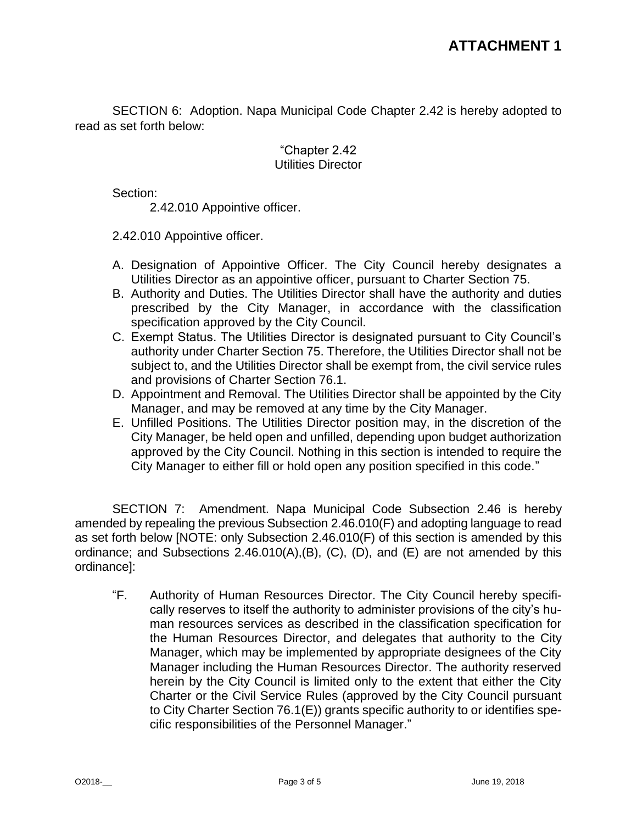SECTION 6: Adoption. Napa Municipal Code Chapter 2.42 is hereby adopted to read as set forth below:

## "Chapter 2.42 Utilities Director

Section:

2.42.010 Appointive officer.

2.42.010 Appointive officer.

- A. Designation of Appointive Officer. The City Council hereby designates a Utilities Director as an appointive officer, pursuant to Charter Section 75.
- B. Authority and Duties. The Utilities Director shall have the authority and duties prescribed by the City Manager, in accordance with the classification specification approved by the City Council.
- C. Exempt Status. The Utilities Director is designated pursuant to City Council's authority under Charter Section 75. Therefore, the Utilities Director shall not be subject to, and the Utilities Director shall be exempt from, the civil service rules and provisions of Charter Section 76.1.
- D. Appointment and Removal. The Utilities Director shall be appointed by the City Manager, and may be removed at any time by the City Manager.
- E. Unfilled Positions. The Utilities Director position may, in the discretion of the City Manager, be held open and unfilled, depending upon budget authorization approved by the City Council. Nothing in this section is intended to require the City Manager to either fill or hold open any position specified in this code."

SECTION 7: Amendment. Napa Municipal Code Subsection 2.46 is hereby amended by repealing the previous Subsection 2.46.010(F) and adopting language to read as set forth below [NOTE: only Subsection 2.46.010(F) of this section is amended by this ordinance; and Subsections  $2.46.010(A), (B), (C), (D),$  and  $(E)$  are not amended by this ordinance]:

"F. Authority of Human Resources Director. The City Council hereby specifically reserves to itself the authority to administer provisions of the city's human resources services as described in the classification specification for the Human Resources Director, and delegates that authority to the City Manager, which may be implemented by appropriate designees of the City Manager including the Human Resources Director. The authority reserved herein by the City Council is limited only to the extent that either the City Charter or the Civil Service Rules (approved by the City Council pursuant to City Charter Section 76.1(E)) grants specific authority to or identifies specific responsibilities of the Personnel Manager."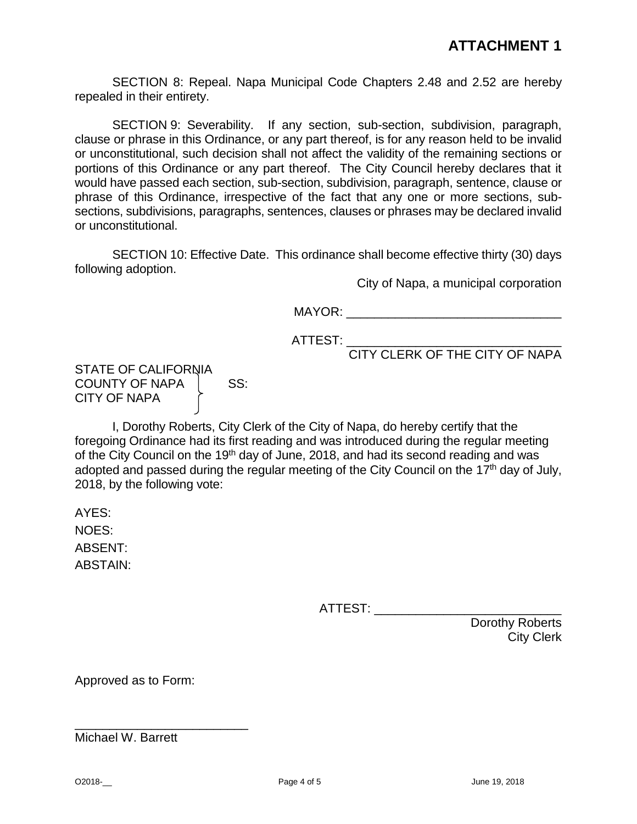SECTION 8: Repeal. Napa Municipal Code Chapters 2.48 and 2.52 are hereby repealed in their entirety.

SECTION 9: Severability. If any section, sub-section, subdivision, paragraph, clause or phrase in this Ordinance, or any part thereof, is for any reason held to be invalid or unconstitutional, such decision shall not affect the validity of the remaining sections or portions of this Ordinance or any part thereof. The City Council hereby declares that it would have passed each section, sub-section, subdivision, paragraph, sentence, clause or phrase of this Ordinance, irrespective of the fact that any one or more sections, subsections, subdivisions, paragraphs, sentences, clauses or phrases may be declared invalid or unconstitutional.

SECTION 10: Effective Date. This ordinance shall become effective thirty (30) days following adoption.

City of Napa, a municipal corporation

MAYOR: where  $\blacksquare$ 

 $\textrm{ATTEST:}\_\_$ 

CITY CLERK OF THE CITY OF NAPA

STATE OF CALIFORNIA COUNTY OF NAPA | SS: CITY OF NAPA

I, Dorothy Roberts, City Clerk of the City of Napa, do hereby certify that the foregoing Ordinance had its first reading and was introduced during the regular meeting of the City Council on the 19<sup>th</sup> day of June, 2018, and had its second reading and was adopted and passed during the regular meeting of the City Council on the 17<sup>th</sup> day of July, 2018, by the following vote:

AYES: NOES: ABSENT: ABSTAIN:

ATTEST: \_\_\_\_\_\_\_\_\_\_\_\_\_\_\_\_\_\_\_\_\_\_\_\_\_\_\_

Dorothy Roberts City Clerk

Approved as to Form:

\_\_\_\_\_\_\_\_\_\_\_\_\_\_\_\_\_\_\_\_\_\_\_\_\_

Michael W. Barrett